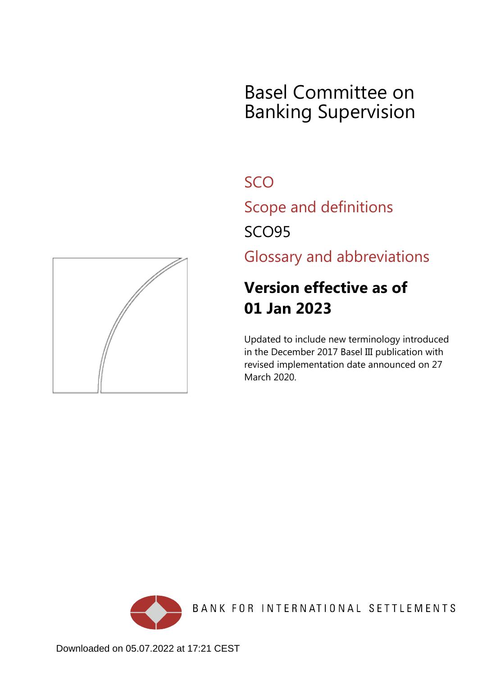## Basel Committee on Banking Supervision

**SCO** 

Scope and definitions

SCO95

Glossary and abbreviations

## **Version effective as of 01 Jan 2023**

Updated to include new terminology introduced in the December 2017 Basel III publication with revised implementation date announced on 27 March 2020.



BANK FOR INTERNATIONAL SETTLEMENTS

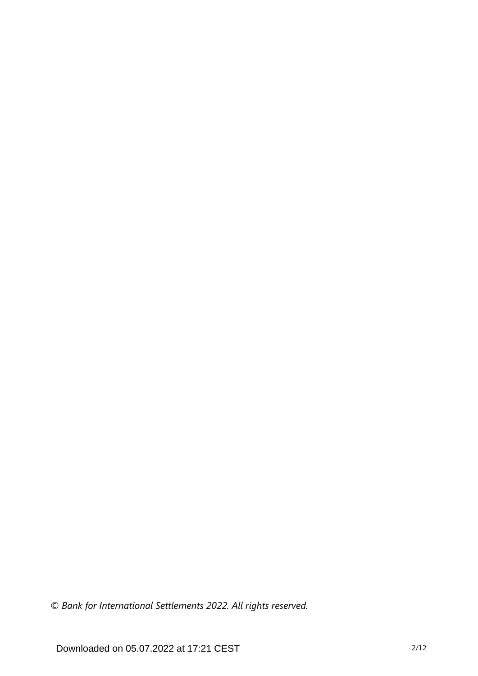*© Bank for International Settlements 2022. All rights reserved.*

Downloaded on 05.07.2022 at 17:21 CEST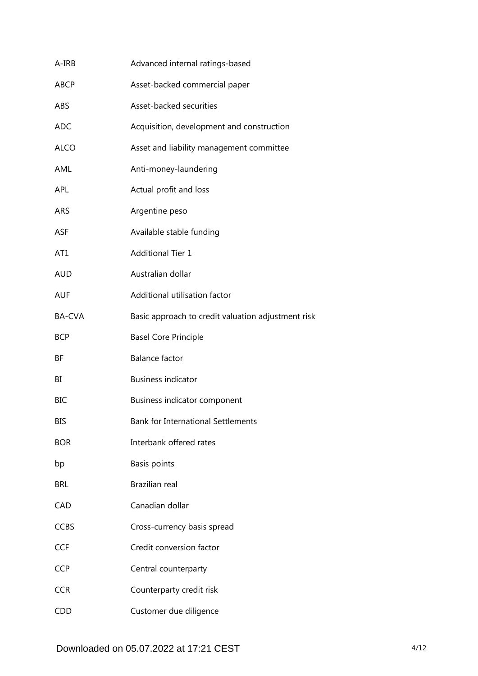| A-IRB         | Advanced internal ratings-based                    |
|---------------|----------------------------------------------------|
| <b>ABCP</b>   | Asset-backed commercial paper                      |
| ABS           | Asset-backed securities                            |
| <b>ADC</b>    | Acquisition, development and construction          |
| <b>ALCO</b>   | Asset and liability management committee           |
| AML           | Anti-money-laundering                              |
| APL           | Actual profit and loss                             |
| <b>ARS</b>    | Argentine peso                                     |
| <b>ASF</b>    | Available stable funding                           |
| AT1           | <b>Additional Tier 1</b>                           |
| <b>AUD</b>    | Australian dollar                                  |
| <b>AUF</b>    | Additional utilisation factor                      |
| <b>BA-CVA</b> | Basic approach to credit valuation adjustment risk |
| <b>BCP</b>    | <b>Basel Core Principle</b>                        |
| ΒF            | <b>Balance factor</b>                              |
| BI            | <b>Business indicator</b>                          |
| <b>BIC</b>    | Business indicator component                       |
| BIS           | <b>Bank for International Settlements</b>          |
| <b>BOR</b>    | Interbank offered rates                            |
| bp            | Basis points                                       |
| <b>BRL</b>    | Brazilian real                                     |
| CAD           | Canadian dollar                                    |
| <b>CCBS</b>   | Cross-currency basis spread                        |
| <b>CCF</b>    | Credit conversion factor                           |
| <b>CCP</b>    | Central counterparty                               |
| <b>CCR</b>    | Counterparty credit risk                           |
| <b>CDD</b>    | Customer due diligence                             |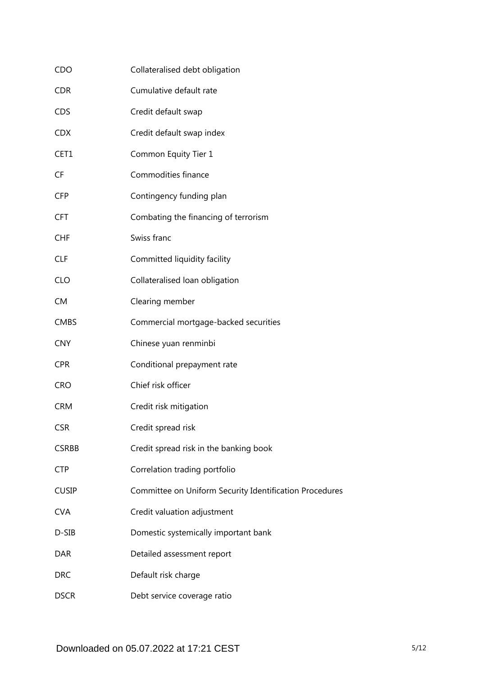| CDO          | Collateralised debt obligation                          |
|--------------|---------------------------------------------------------|
| <b>CDR</b>   | Cumulative default rate                                 |
| <b>CDS</b>   | Credit default swap                                     |
| <b>CDX</b>   | Credit default swap index                               |
| CET1         | Common Equity Tier 1                                    |
| <b>CF</b>    | Commodities finance                                     |
| <b>CFP</b>   | Contingency funding plan                                |
| <b>CFT</b>   | Combating the financing of terrorism                    |
| <b>CHF</b>   | Swiss franc                                             |
| <b>CLF</b>   | Committed liquidity facility                            |
| <b>CLO</b>   | Collateralised loan obligation                          |
| <b>CM</b>    | Clearing member                                         |
| <b>CMBS</b>  | Commercial mortgage-backed securities                   |
| <b>CNY</b>   | Chinese yuan renminbi                                   |
| <b>CPR</b>   | Conditional prepayment rate                             |
| <b>CRO</b>   | Chief risk officer                                      |
| <b>CRM</b>   | Credit risk mitigation                                  |
| <b>CSR</b>   | Credit spread risk                                      |
| <b>CSRBB</b> | Credit spread risk in the banking book                  |
| <b>CTP</b>   | Correlation trading portfolio                           |
| <b>CUSIP</b> | Committee on Uniform Security Identification Procedures |
| <b>CVA</b>   | Credit valuation adjustment                             |
| D-SIB        | Domestic systemically important bank                    |
| <b>DAR</b>   | Detailed assessment report                              |
| <b>DRC</b>   | Default risk charge                                     |
| <b>DSCR</b>  | Debt service coverage ratio                             |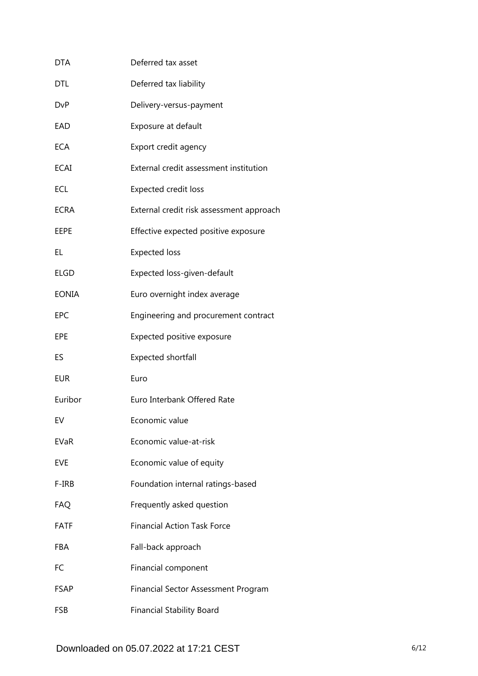| DTA          | Deferred tax asset                         |
|--------------|--------------------------------------------|
| DTL          | Deferred tax liability                     |
| <b>DvP</b>   | Delivery-versus-payment                    |
| EAD          | Exposure at default                        |
| <b>ECA</b>   | Export credit agency                       |
| <b>ECAI</b>  | External credit assessment institution     |
| ECL          | <b>Expected credit loss</b>                |
| <b>ECRA</b>  | External credit risk assessment approach   |
| EEPE         | Effective expected positive exposure       |
| EL           | <b>Expected loss</b>                       |
| <b>ELGD</b>  | Expected loss-given-default                |
| <b>EONIA</b> | Euro overnight index average               |
| <b>EPC</b>   | Engineering and procurement contract       |
| EPE          | Expected positive exposure                 |
| ES           | <b>Expected shortfall</b>                  |
| <b>EUR</b>   | Euro                                       |
| Euribor      | Euro Interbank Offered Rate                |
| EV           | Economic value                             |
| EVaR         | Economic value-at-risk                     |
| EVE          | Economic value of equity                   |
| F-IRB        | Foundation internal ratings-based          |
| <b>FAQ</b>   | Frequently asked question                  |
| <b>FATF</b>  | <b>Financial Action Task Force</b>         |
| FBA          | Fall-back approach                         |
| FC           | Financial component                        |
| FSAP         | <b>Financial Sector Assessment Program</b> |
| <b>FSB</b>   | <b>Financial Stability Board</b>           |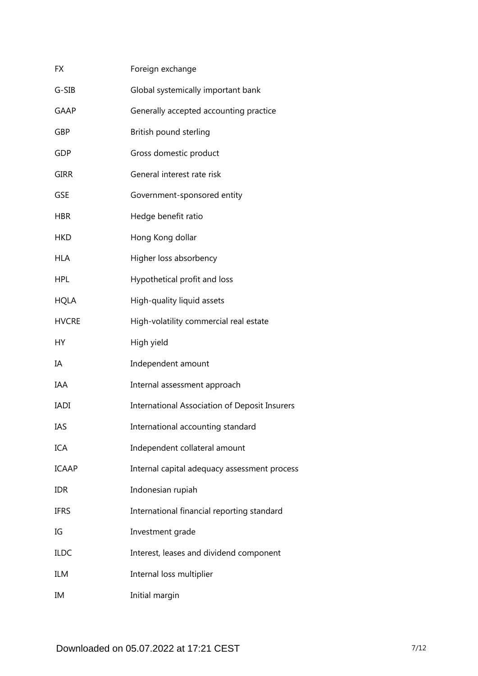| FX           | Foreign exchange                                     |
|--------------|------------------------------------------------------|
| G-SIB        | Global systemically important bank                   |
| <b>GAAP</b>  | Generally accepted accounting practice               |
| GBP          | British pound sterling                               |
| GDP          | Gross domestic product                               |
| <b>GIRR</b>  | General interest rate risk                           |
| <b>GSE</b>   | Government-sponsored entity                          |
| <b>HBR</b>   | Hedge benefit ratio                                  |
| <b>HKD</b>   | Hong Kong dollar                                     |
| <b>HLA</b>   | Higher loss absorbency                               |
| <b>HPL</b>   | Hypothetical profit and loss                         |
| <b>HQLA</b>  | High-quality liquid assets                           |
| <b>HVCRE</b> | High-volatility commercial real estate               |
| НY           | High yield                                           |
| ΙA           | Independent amount                                   |
| IAA          | Internal assessment approach                         |
| <b>IADI</b>  | <b>International Association of Deposit Insurers</b> |
| IAS          | International accounting standard                    |
| <b>ICA</b>   | Independent collateral amount                        |
| <b>ICAAP</b> | Internal capital adequacy assessment process         |
| <b>IDR</b>   | Indonesian rupiah                                    |
| <b>IFRS</b>  | International financial reporting standard           |
| IG           | Investment grade                                     |
| <b>ILDC</b>  | Interest, leases and dividend component              |
| ILM          | Internal loss multiplier                             |
| IM           | Initial margin                                       |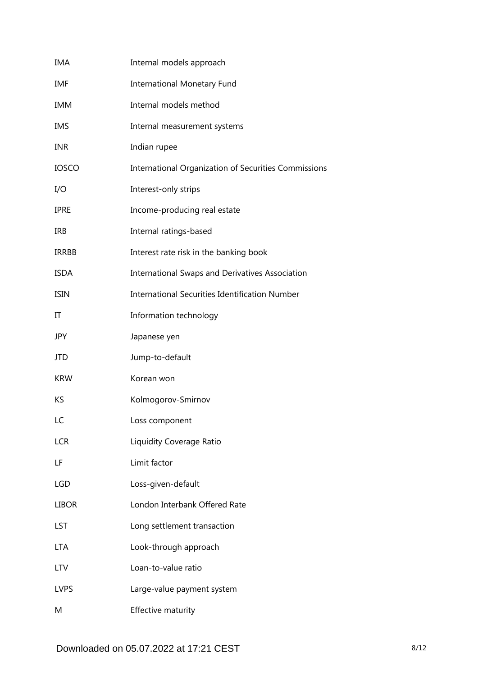| IMA          | Internal models approach                              |
|--------------|-------------------------------------------------------|
| IMF          | <b>International Monetary Fund</b>                    |
| <b>IMM</b>   | Internal models method                                |
| <b>IMS</b>   | Internal measurement systems                          |
| <b>INR</b>   | Indian rupee                                          |
| <b>IOSCO</b> | International Organization of Securities Commissions  |
| I/O          | Interest-only strips                                  |
| <b>IPRE</b>  | Income-producing real estate                          |
| <b>IRB</b>   | Internal ratings-based                                |
| <b>IRRBB</b> | Interest rate risk in the banking book                |
| <b>ISDA</b>  | International Swaps and Derivatives Association       |
| <b>ISIN</b>  | <b>International Securities Identification Number</b> |
| IT           | Information technology                                |
| <b>JPY</b>   | Japanese yen                                          |
| JTD          | Jump-to-default                                       |
| <b>KRW</b>   | Korean won                                            |
| KS           | Kolmogorov-Smirnov                                    |
| LC           | Loss component                                        |
| <b>LCR</b>   | Liquidity Coverage Ratio                              |
| LF           | Limit factor                                          |
| <b>LGD</b>   | Loss-given-default                                    |
| <b>LIBOR</b> | London Interbank Offered Rate                         |
| LST          | Long settlement transaction                           |
| <b>LTA</b>   | Look-through approach                                 |
| <b>LTV</b>   | Loan-to-value ratio                                   |
| <b>LVPS</b>  | Large-value payment system                            |
| M            | Effective maturity                                    |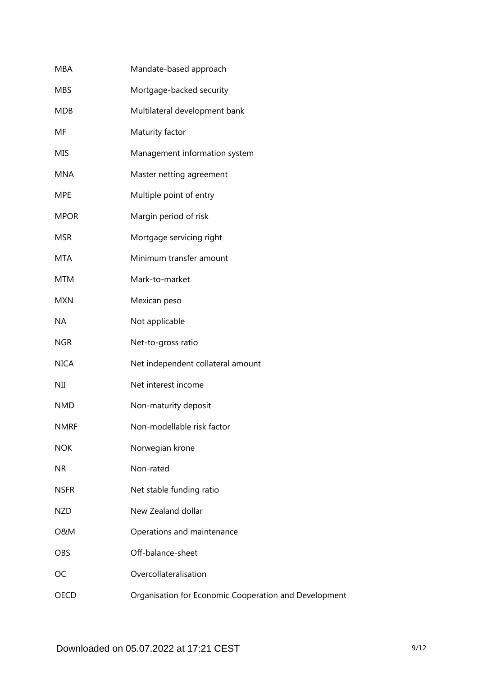| <b>MBA</b>     | Mandate-based approach                                |
|----------------|-------------------------------------------------------|
| <b>MBS</b>     | Mortgage-backed security                              |
| <b>MDB</b>     | Multilateral development bank                         |
| MF             | Maturity factor                                       |
| <b>MIS</b>     | Management information system                         |
| <b>MNA</b>     | Master netting agreement                              |
| <b>MPE</b>     | Multiple point of entry                               |
| <b>MPOR</b>    | Margin period of risk                                 |
| <b>MSR</b>     | Mortgage servicing right                              |
| <b>MTA</b>     | Minimum transfer amount                               |
| <b>MTM</b>     | Mark-to-market                                        |
| <b>MXN</b>     | Mexican peso                                          |
| <b>NA</b>      | Not applicable                                        |
| <b>NGR</b>     | Net-to-gross ratio                                    |
| <b>NICA</b>    | Net independent collateral amount                     |
| NII            | Net interest income                                   |
| <b>NMD</b>     | Non-maturity deposit                                  |
| <b>NMRF</b>    | Non-modellable risk factor                            |
| <b>NOK</b>     | Norwegian krone                                       |
| <b>NR</b>      | Non-rated                                             |
| <b>NSFR</b>    | Net stable funding ratio                              |
| <b>NZD</b>     | New Zealand dollar                                    |
| <b>O&amp;M</b> | Operations and maintenance                            |
| <b>OBS</b>     | Off-balance-sheet                                     |
| OC             | Overcollateralisation                                 |
| <b>OECD</b>    | Organisation for Economic Cooperation and Development |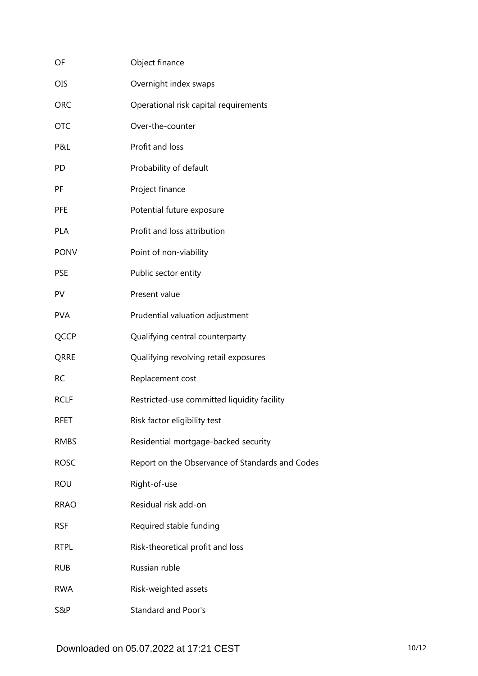| OF          | Object finance                                  |
|-------------|-------------------------------------------------|
| <b>OIS</b>  | Overnight index swaps                           |
| <b>ORC</b>  | Operational risk capital requirements           |
| <b>OTC</b>  | Over-the-counter                                |
| P&L         | Profit and loss                                 |
| PD          | Probability of default                          |
| PF          | Project finance                                 |
| <b>PFE</b>  | Potential future exposure                       |
| <b>PLA</b>  | Profit and loss attribution                     |
| <b>PONV</b> | Point of non-viability                          |
| <b>PSE</b>  | Public sector entity                            |
| PV          | Present value                                   |
| <b>PVA</b>  | Prudential valuation adjustment                 |
| QCCP        | Qualifying central counterparty                 |
| QRRE        | Qualifying revolving retail exposures           |
| <b>RC</b>   | Replacement cost                                |
| <b>RCLF</b> | Restricted-use committed liquidity facility     |
| <b>RFET</b> | Risk factor eligibility test                    |
| <b>RMBS</b> | Residential mortgage-backed security            |
| <b>ROSC</b> | Report on the Observance of Standards and Codes |
| <b>ROU</b>  | Right-of-use                                    |
| <b>RRAO</b> | Residual risk add-on                            |
| <b>RSF</b>  | Required stable funding                         |
| <b>RTPL</b> | Risk-theoretical profit and loss                |
| <b>RUB</b>  | Russian ruble                                   |
| <b>RWA</b>  | Risk-weighted assets                            |
| S&P         | <b>Standard and Poor's</b>                      |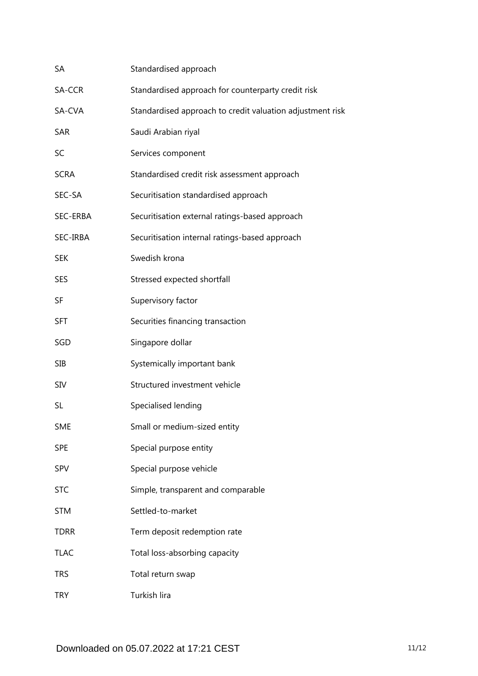| SA          | Standardised approach                                     |
|-------------|-----------------------------------------------------------|
| SA-CCR      | Standardised approach for counterparty credit risk        |
| SA-CVA      | Standardised approach to credit valuation adjustment risk |
| SAR         | Saudi Arabian riyal                                       |
| SC          | Services component                                        |
| <b>SCRA</b> | Standardised credit risk assessment approach              |
| SEC-SA      | Securitisation standardised approach                      |
| SEC-ERBA    | Securitisation external ratings-based approach            |
| SEC-IRBA    | Securitisation internal ratings-based approach            |
| <b>SEK</b>  | Swedish krona                                             |
| <b>SES</b>  | Stressed expected shortfall                               |
| SF          | Supervisory factor                                        |
| <b>SFT</b>  | Securities financing transaction                          |
| SGD         | Singapore dollar                                          |
| <b>SIB</b>  | Systemically important bank                               |
| <b>SIV</b>  | Structured investment vehicle                             |
| SL          | Specialised lending                                       |
| <b>SME</b>  | Small or medium-sized entity                              |
| <b>SPE</b>  | Special purpose entity                                    |
| SPV         | Special purpose vehicle                                   |
| <b>STC</b>  | Simple, transparent and comparable                        |
| <b>STM</b>  | Settled-to-market                                         |
| <b>TDRR</b> | Term deposit redemption rate                              |
| <b>TLAC</b> | Total loss-absorbing capacity                             |
| <b>TRS</b>  | Total return swap                                         |
| <b>TRY</b>  | Turkish lira                                              |